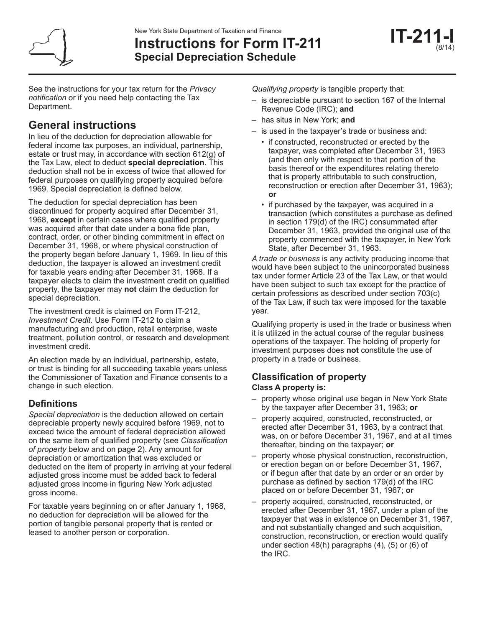

# **Instructions for Form IT-211 Special Depreciation Schedule**

See the instructions for your tax return for the *Privacy notification* or if you need help contacting the Tax Department.

# **General instructions**

In lieu of the deduction for depreciation allowable for federal income tax purposes, an individual, partnership, estate or trust may, in accordance with section 612(g) of the Tax Law, elect to deduct **special depreciation**. This deduction shall not be in excess of twice that allowed for federal purposes on qualifying property acquired before 1969. Special depreciation is defined below.

The deduction for special depreciation has been discontinued for property acquired after December 31, 1968, **except** in certain cases where qualified property was acquired after that date under a bona fide plan, contract, order, or other binding commitment in effect on December 31, 1968, or where physical construction of the property began before January 1, 1969. In lieu of this deduction, the taxpayer is allowed an investment credit for taxable years ending after December 31, 1968. If a taxpayer elects to claim the investment credit on qualified property, the taxpayer may **not** claim the deduction for special depreciation.

The investment credit is claimed on Form IT-212, *Investment Credit.* Use Form IT-212 to claim a manufacturing and production, retail enterprise, waste treatment, pollution control, or research and development investment credit.

An election made by an individual, partnership, estate, or trust is binding for all succeeding taxable years unless the Commissioner of Taxation and Finance consents to a change in such election.

# **Definitions**

*Special depreciation* is the deduction allowed on certain depreciable property newly acquired before 1969, not to exceed twice the amount of federal depreciation allowed on the same item of qualified property (see *Classification of property* below and on page 2). Any amount for depreciation or amortization that was excluded or deducted on the item of property in arriving at your federal adjusted gross income must be added back to federal adjusted gross income in figuring New York adjusted gross income.

For taxable years beginning on or after January 1, 1968, no deduction for depreciation will be allowed for the portion of tangible personal property that is rented or leased to another person or corporation.

*Qualifying property* is tangible property that:

- is depreciable pursuant to section 167 of the Internal Revenue Code (IRC); **and**
- has situs in New York; **and**
- is used in the taxpayer's trade or business and:
	- if constructed, reconstructed or erected by the taxpayer, was completed after December 31, 1963 (and then only with respect to that portion of the basis thereof or the expenditures relating thereto that is properly attributable to such construction, reconstruction or erection after December 31, 1963); **or**
	- if purchased by the taxpayer, was acquired in a transaction (which constitutes a purchase as defined in section 179(d) of the IRC) consummated after December 31, 1963, provided the original use of the property commenced with the taxpayer, in New York State, after December 31, 1963.

*A trade or business* is any activity producing income that would have been subject to the unincorporated business tax under former Article 23 of the Tax Law, or that would have been subject to such tax except for the practice of certain professions as described under section 703(c) of the Tax Law, if such tax were imposed for the taxable year.

Qualifying property is used in the trade or business when it is utilized in the actual course of the regular business operations of the taxpayer. The holding of property for investment purposes does **not** constitute the use of property in a trade or business.

## **Classification of property Class A property is:**

- property whose original use began in New York State by the taxpayer after December 31, 1963; **or**
- property acquired, constructed, reconstructed, or erected after December 31, 1963, by a contract that was, on or before December 31, 1967, and at all times thereafter, binding on the taxpayer; **or**
- property whose physical construction, reconstruction, or erection began on or before December 31, 1967, or if begun after that date by an order or an order by purchase as defined by section 179(d) of the IRC placed on or before December 31, 1967; **or**
- property acquired, constructed, reconstructed, or erected after December 31, 1967, under a plan of the taxpayer that was in existence on December 31, 1967, and not substantially changed and such acquisition, construction, reconstruction, or erection would qualify under section 48(h) paragraphs (4), (5) or (6) of the IRC.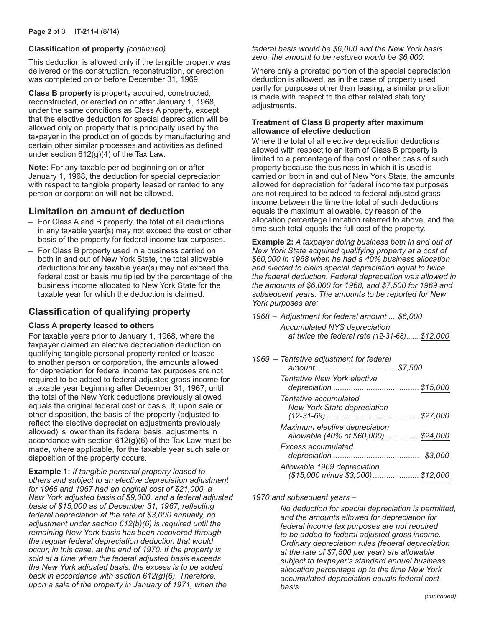#### **Classification of property** *(continued)*

This deduction is allowed only if the tangible property was delivered or the construction, reconstruction, or erection was completed on or before December 31, 1969.

**Class B property** is property acquired, constructed, reconstructed, or erected on or after January 1, 1968, under the same conditions as Class A property, except that the elective deduction for special depreciation will be allowed only on property that is principally used by the taxpayer in the production of goods by manufacturing and certain other similar processes and activities as defined under section 612(g)(4) of the Tax Law.

**Note:** For any taxable period beginning on or after January 1, 1968, the deduction for special depreciation with respect to tangible property leased or rented to any person or corporation will **not** be allowed.

### **Limitation on amount of deduction**

- For Class A and B property, the total of all deductions in any taxable year(s) may not exceed the cost or other basis of the property for federal income tax purposes.
- For Class B property used in a business carried on both in and out of New York State, the total allowable deductions for any taxable year(s) may not exceed the federal cost or basis multiplied by the percentage of the business income allocated to New York State for the taxable year for which the deduction is claimed.

## **Classification of qualifying property**

#### **Class A property leased to others**

For taxable years prior to January 1, 1968, where the taxpayer claimed an elective depreciation deduction on qualifying tangible personal property rented or leased to another person or corporation, the amounts allowed for depreciation for federal income tax purposes are not required to be added to federal adjusted gross income for a taxable year beginning after December 31, 1967, until the total of the New York deductions previously allowed equals the original federal cost or basis. If, upon sale or other disposition, the basis of the property (adjusted to reflect the elective depreciation adjustments previously allowed) is lower than its federal basis, adjustments in accordance with section 612(g)(6) of the Tax Law must be made, where applicable, for the taxable year such sale or disposition of the property occurs.

**Example 1:** *If tangible personal property leased to others and subject to an elective depreciation adjustment for 1966 and 1967 had an original cost of \$21,000, a New York adjusted basis of \$9,000, and a federal adjusted basis of \$15,000 as of December 31, 1967, reflecting federal depreciation at the rate of \$3,000 annually, no adjustment under section 612(b)(6) is required until the remaining New York basis has been recovered through the regular federal depreciation deduction that would occur, in this case, at the end of 1970. If the property is sold at a time when the federal adjusted basis exceeds the New York adjusted basis, the excess is to be added back in accordance with section 612(g)(6). Therefore, upon a sale of the property in January of 1971, when the* 

*federal basis would be \$6,000 and the New York basis zero, the amount to be restored would be \$6,000.*

Where only a prorated portion of the special depreciation deduction is allowed, as in the case of property used partly for purposes other than leasing, a similar proration is made with respect to the other related statutory adjustments.

#### **Treatment of Class B property after maximum allowance of elective deduction**

Where the total of all elective depreciation deductions allowed with respect to an item of Class B property is limited to a percentage of the cost or other basis of such property because the business in which it is used is carried on both in and out of New York State, the amounts allowed for depreciation for federal income tax purposes are not required to be added to federal adjusted gross income between the time the total of such deductions equals the maximum allowable, by reason of the allocation percentage limitation referred to above, and the time such total equals the full cost of the property.

**Example 2:** *A taxpayer doing business both in and out of New York State acquired qualifying property at a cost of \$60,000 in 1968 when he had a 40% business allocation and elected to claim special depreciation equal to twice the federal deduction. Federal depreciation was allowed in the amounts of \$6,000 for 1968, and \$7,500 for 1969 and subsequent years. The amounts to be reported for New York purposes are:*

| 1968 – Adjustment for federal amount  \$6,000 |                                              |
|-----------------------------------------------|----------------------------------------------|
| Accumulated NYS depreciation                  |                                              |
|                                               | at twice the federal rate (12-31-68)\$12,000 |

| 1969 - Tentative adjustment for federal                                |  |
|------------------------------------------------------------------------|--|
| Tentative New York elective                                            |  |
| Tentative accumulated<br><b>New York State depreciation</b>            |  |
| Maximum elective depreciation<br>allowable (40% of \$60,000)  \$24,000 |  |
| <b>Excess accumulated</b>                                              |  |
| Allowable 1969 depreciation<br>(\$15,000 minus \$3,000)  \$12,000      |  |

*1970 and subsequent years –*

*No deduction for special depreciation is permitted, and the amounts allowed for depreciation for federal income tax purposes are not required to be added to federal adjusted gross income. Ordinary depreciation rules (federal depreciation at the rate of \$7,500 per year) are allowable subject to taxpayer's standard annual business allocation percentage up to the time New York accumulated depreciation equals federal cost basis.*